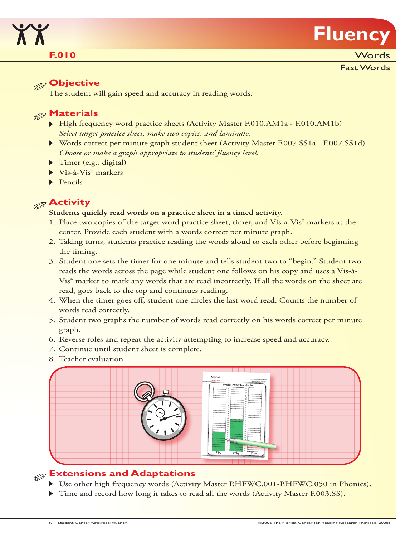

### **F.010**

**Words** 

Fast Words

#### **Objective**

The student will gain speed and accuracy in reading words.

## **Materials**

- High frequency word practice sheets (Activity Master F.010.AM1a F.010.AM1b) *Select target practice sheet, make two copies, and laminate.*
- Words correct per minute graph student sheet (Activity Master F.007.SS1a F.007.SS1d) *Choose or make a graph appropriate to students' fluency level.*
- Timer (e.g., digital)
- Vis-à-Vis® markers
- $\blacktriangleright$  Pencils

# **Activity**

#### **Students quickly read words on a practice sheet in a timed activity.**

- 1. Place two copies of the target word practice sheet, timer, and Vis-a-Vis® markers at the center. Provide each student with a words correct per minute graph.
- 2. Taking turns, students practice reading the words aloud to each other before beginning the timing.
- 3. Student one sets the timer for one minute and tells student two to "begin." Student two reads the words across the page while student one follows on his copy and uses a Vis-à-Vis® marker to mark any words that are read incorrectly. If all the words on the sheet are read, goes back to the top and continues reading.
- 4. When the timer goes off, student one circles the last word read. Counts the number of words read correctly.
- 5. Student two graphs the number of words read correctly on his words correct per minute graph.
- 6. Reverse roles and repeat the activity attempting to increase speed and accuracy.
- 7. Continue until student sheet is complete.
- 8. Teacher evaluation



# **Extensions and Adaptations**

- ▶ Use other high frequency words (Activity Master P.HFWC.001-P.HFWC.050 in Phonics).
- Time and record how long it takes to read all the words (Activity Master F.003.SS).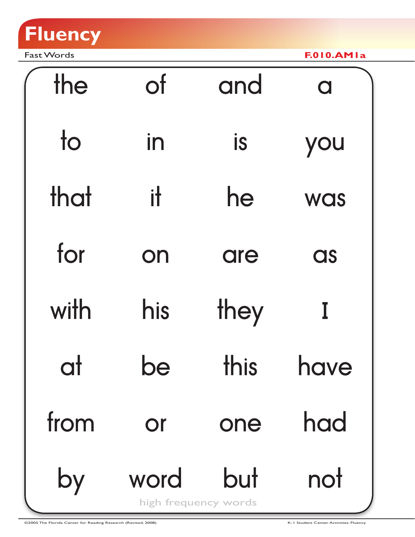

Fast Words **F.010.AM1a**

| the                    | <b>of</b> | and                         | $\overline{\mathbf{C}}$ |
|------------------------|-----------|-----------------------------|-------------------------|
| $\overline{\text{to}}$ | in        | is                          | you                     |
| that                   | ił        | he                          | <b>WAS</b>              |
| for                    | on        | are                         | as                      |
| with                   | his       | they                        |                         |
| Ч                      |           | this                        | <b>IIUVU</b>            |
| from                   | Or        | one                         | had                     |
| by                     | word      | but<br>high frequency words | not                     |